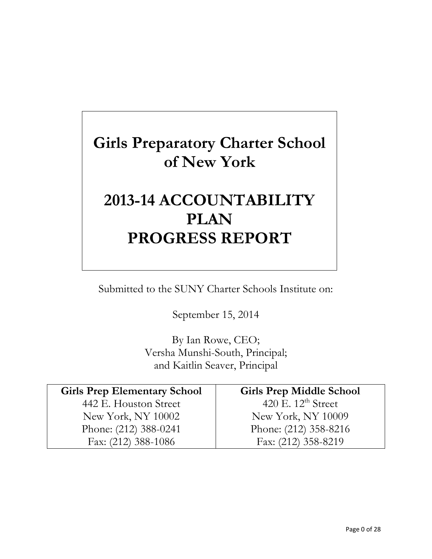# **Girls Preparatory Charter School of New York**

# **2013-14 ACCOUNTABILITY PLAN PROGRESS REPORT**

Submitted to the SUNY Charter Schools Institute on:

September 15, 2014

By Ian Rowe, CEO; Versha Munshi-South, Principal; and Kaitlin Seaver, Principal

| <b>Girls Prep Elementary School</b> | <b>Girls Prep Middle School</b> |
|-------------------------------------|---------------------------------|
| 442 E. Houston Street               | 420 E. $12^{\text{th}}$ Street  |
| New York, NY 10002                  | New York, NY 10009              |
| Phone: (212) 388-0241               | Phone: (212) 358-8216           |
| Fax: (212) 388-1086                 | Fax: (212) 358-8219             |
|                                     |                                 |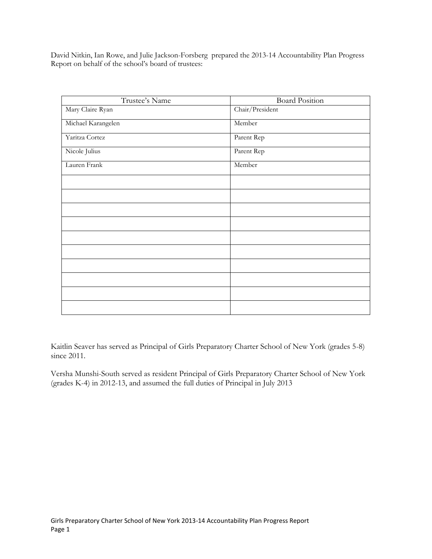David Nitkin, Ian Rowe, and Julie Jackson-Forsberg prepared the 2013-14 Accountability Plan Progress Report on behalf of the school's board of trustees:

| Trustee's Name     | <b>Board Position</b> |
|--------------------|-----------------------|
| Mary Claire Ryan   | Chair/President       |
| Michael Karangelen | Member                |
| Yaritza Cortez     | Parent Rep            |
| Nicole Julius      | Parent Rep            |
| Lauren Frank       | Member                |
|                    |                       |
|                    |                       |
|                    |                       |
|                    |                       |
|                    |                       |
|                    |                       |
|                    |                       |
|                    |                       |
|                    |                       |
|                    |                       |

Kaitlin Seaver has served as Principal of Girls Preparatory Charter School of New York (grades 5-8) since 2011.

Versha Munshi-South served as resident Principal of Girls Preparatory Charter School of New York (grades K-4) in 2012-13, and assumed the full duties of Principal in July 2013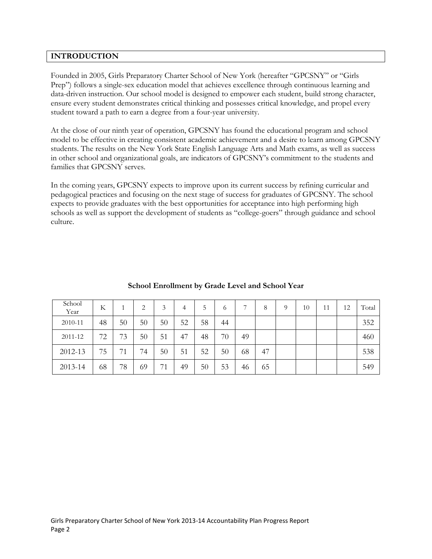# **INTRODUCTION**

Founded in 2005, Girls Preparatory Charter School of New York (hereafter "GPCSNY" or "Girls Prep") follows a single-sex education model that achieves excellence through continuous learning and data-driven instruction. Our school model is designed to empower each student, build strong character, ensure every student demonstrates critical thinking and possesses critical knowledge, and propel every student toward a path to earn a degree from a four-year university.

At the close of our ninth year of operation, GPCSNY has found the educational program and school model to be effective in creating consistent academic achievement and a desire to learn among GPCSNY students. The results on the New York State English Language Arts and Math exams, as well as success in other school and organizational goals, are indicators of GPCSNY's commitment to the students and families that GPCSNY serves.

In the coming years, GPCSNY expects to improve upon its current success by refining curricular and pedagogical practices and focusing on the next stage of success for graduates of GPCSNY. The school expects to provide graduates with the best opportunities for acceptance into high performing high schools as well as support the development of students as "college-goers" through guidance and school culture.

| School<br>Year | K  |    | 2  | 3  | 4  | 5  | 6  |    | 8  | $\Omega$ | 10 | 11 | 12 | Total |
|----------------|----|----|----|----|----|----|----|----|----|----------|----|----|----|-------|
| 2010-11        | 48 | 50 | 50 | 50 | 52 | 58 | 44 |    |    |          |    |    |    | 352   |
| 2011-12        | 72 | 73 | 50 | 51 | 47 | 48 | 70 | 49 |    |          |    |    |    | 460   |
| 2012-13        | 75 | 71 | 74 | 50 | 51 | 52 | 50 | 68 | 47 |          |    |    |    | 538   |
| 2013-14        | 68 | 78 | 69 | 71 | 49 | 50 | 53 | 46 | 65 |          |    |    |    | 549   |

# **School Enrollment by Grade Level and School Year**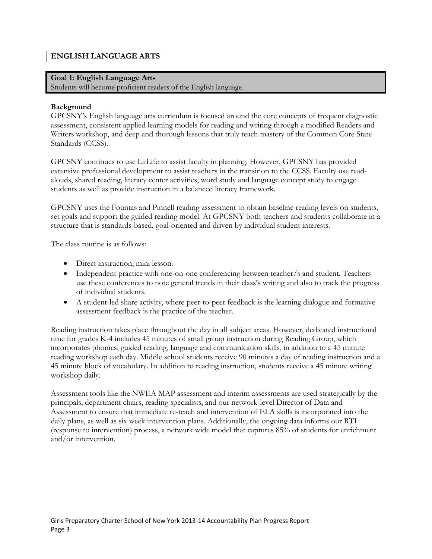# **ENGLISH LANGUAGE ARTS**

## **Goal 1: English Language Arts**

Students will become proficient readers of the English language.

## **Background**

GPCSNY's English language arts curriculum is focused around the core concepts of frequent diagnostic assessment, consistent applied learning models for reading and writing through a modified Readers and Writers workshop, and deep and thorough lessons that truly teach mastery of the Common Core State Standards (CCSS).

GPCSNY continues to use LitLife to assist faculty in planning. However, GPCSNY has provided extensive professional development to assist teachers in the transition to the CCSS. Faculty use readalouds, shared reading, literacy center activities, word study and language concept study to engage students as well as provide instruction in a balanced literacy framework.

GPCSNY uses the Fountas and Pinnell reading assessment to obtain baseline reading levels on students, set goals and support the guided reading model. At GPCSNY both teachers and students collaborate in a structure that is standards-based, goal-oriented and driven by individual student interests.

The class routine is as follows:

- Direct instruction, mini lesson.
- Independent practice with one-on-one conferencing between teacher/s and student. Teachers use these conferences to note general trends in their class's writing and also to track the progress of individual students.
- A student-led share activity, where peer-to-peer feedback is the learning dialogue and formative assessment feedback is the practice of the teacher.

Reading instruction takes place throughout the day in all subject areas. However, dedicated instructional time for grades K-4 includes 45 minutes of small group instruction during Reading Group, which incorporates phonics, guided reading, language and communication skills, in addition to a 45 minute reading workshop each day. Middle school students receive 90 minutes a day of reading instruction and a 45 minute block of vocabulary. In addition to reading instruction, students receive a 45 minute writing workshop daily.

Assessment tools like the NWEA MAP assessment and interim assessments are used strategically by the principals, department chairs, reading specialists, and our network-level Director of Data and Assessment to ensure that immediate re-teach and intervention of ELA skills is incorporated into the daily plans, as well as six week intervention plans. Additionally, the ongoing data informs our RTI (response to intervention) process, a network wide model that captures 85% of students for enrichment and/or intervention.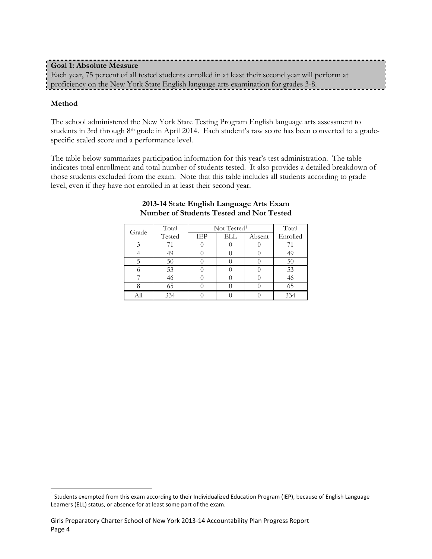# **Goal 1: Absolute Measure** Each year, 75 percent of all tested students enrolled in at least their second year will perform at proficiency on the New York State English language arts examination for grades 3-8.

# **Method**

The school administered the New York State Testing Program English language arts assessment to students in 3rd through 8th grade in April 2014. Each student's raw score has been converted to a gradespecific scaled score and a performance level.

The table below summarizes participation information for this year's test administration. The table indicates total enrollment and total number of students tested. It also provides a detailed breakdown of those students excluded from the exam. Note that this table includes all students according to grade level, even if they have not enrolled in at least their second year.

| Grade | Total  | Not Tested <sup>1</sup> | Total |        |          |
|-------|--------|-------------------------|-------|--------|----------|
|       | Tested | IEP                     | ELL   | Absent | Enrolled |
|       |        |                         |       |        |          |
|       | 49     |                         |       |        | 49       |
|       | 50     |                         |       |        | 50       |
|       | 53     |                         |       |        | 53       |
|       |        |                         |       |        | 46       |
|       | 65     |                         |       |        | 65       |
|       | 334    |                         |       |        | 334      |

## **2013-14 State English Language Arts Exam Number of Students Tested and Not Tested**

<sup>&</sup>lt;sup>1</sup> Students exempted from this exam according to their Individualized Education Program (IEP), because of English Language Learners (ELL) status, or absence for at least some part of the exam.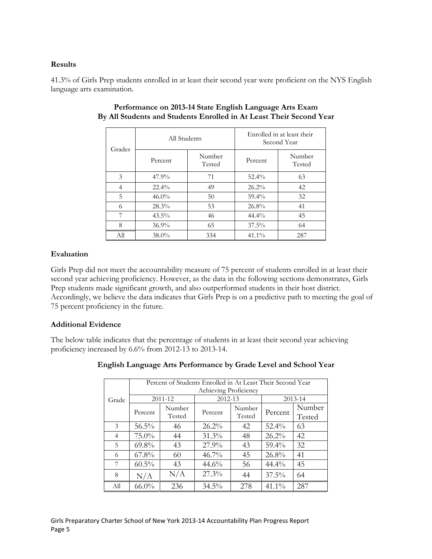# **Results**

41.3% of Girls Prep students enrolled in at least their second year were proficient on the NYS English language arts examination.

| Grades | All Students |                  | Enrolled in at least their<br>Second Year |                  |  |
|--------|--------------|------------------|-------------------------------------------|------------------|--|
|        | Percent      | Number<br>Tested | Percent                                   | Number<br>Tested |  |
| 3      | 47.9%        | 71               | $52.4\%$                                  | 63               |  |
| 4      | $22.4\%$     | 49               | $26.2\%$                                  | 42               |  |
| 5      | $46.0\%$     | 50               | 59.4%                                     | 32               |  |
| 6      | 28.3%        | 53               | 26.8%                                     | 41               |  |
| 7      | $43.5\%$     | 46               | $44.4\%$                                  | 45               |  |
| 8      | $36.9\%$     | 65               | $37.5\%$                                  | 64               |  |
| All    | $38.0\%$     | 334              | $41.1\%$                                  | 287              |  |

# **Performance on 2013-14 State English Language Arts Exam By All Students and Students Enrolled in At Least Their Second Year**

# **Evaluation**

Girls Prep did not meet the accountability measure of 75 percent of students enrolled in at least their second year achieving proficiency. However, as the data in the following sections demonstrates, Girls Prep students made significant growth, and also outperformed students in their host district. Accordingly, we believe the data indicates that Girls Prep is on a predictive path to meeting the goal of 75 percent proficiency in the future.

# **Additional Evidence**

The below table indicates that the percentage of students in at least their second year achieving proficiency increased by 6.6% from 2012-13 to 2013-14.

|       |          | Percent of Students Enrolled in At Least Their Second Year<br>Achieving Proficiency |          |                  |          |                  |  |  |  |  |  |  |
|-------|----------|-------------------------------------------------------------------------------------|----------|------------------|----------|------------------|--|--|--|--|--|--|
| Grade |          | 2011-12                                                                             | 2012-13  |                  |          | 2013-14          |  |  |  |  |  |  |
|       | Percent  | Number<br>Tested                                                                    | Percent  | Number<br>Tested | Percent  | Number<br>Tested |  |  |  |  |  |  |
| 3     | 56.5%    | 46                                                                                  | $26.2\%$ | 42               | $52.4\%$ | 63               |  |  |  |  |  |  |
| 4     | $75.0\%$ | 44                                                                                  | 31.3%    | 48               | $26.2\%$ | 42               |  |  |  |  |  |  |
| 5     | $69.8\%$ | 43                                                                                  | 27.9%    | 43               | 59.4%    | 32               |  |  |  |  |  |  |
| 6     | $67.8\%$ | 60                                                                                  | $46.7\%$ | 45               | $26.8\%$ | 41               |  |  |  |  |  |  |
| 7     | 60.5%    | 43                                                                                  | 44.6%    | 56               | $44.4\%$ | 45               |  |  |  |  |  |  |
| 8     | N/A      | N/A                                                                                 | 27.3%    | 44               | $37.5\%$ | 64               |  |  |  |  |  |  |
| All   | $66.0\%$ | 236                                                                                 | $34.5\%$ | 278              | $41.1\%$ | 287              |  |  |  |  |  |  |

# **English Language Arts Performance by Grade Level and School Year**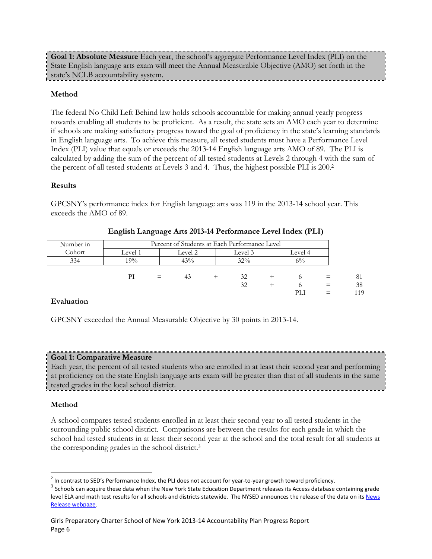**Goal 1: Absolute Measure** Each year, the school's aggregate Performance Level Index (PLI) on the State English language arts exam will meet the Annual Measurable Objective (AMO) set forth in the state's NCLB accountability system.

## **Method**

The federal No Child Left Behind law holds schools accountable for making annual yearly progress towards enabling all students to be proficient. As a result, the state sets an AMO each year to determine if schools are making satisfactory progress toward the goal of proficiency in the state's learning standards in English language arts. To achieve this measure, all tested students must have a Performance Level Index (PLI) value that equals or exceeds the 2013-14 English language arts AMO of 89. The PLI is calculated by adding the sum of the percent of all tested students at Levels 2 through 4 with the sum of the percent of all tested students at Levels 3 and 4. Thus, the highest possible PLI is 200.<sup>2</sup>

## **Results**

GPCSNY's performance index for English language arts was 119 in the 2013-14 school year. This exceeds the AMO of 89.

| Number in | Percent of Students at Each Performance Level |                               |     |  |     |  |       |  |           |
|-----------|-----------------------------------------------|-------------------------------|-----|--|-----|--|-------|--|-----------|
| Cohort    | Level 1                                       | Level 2<br>Level 3<br>Level 4 |     |  |     |  |       |  |           |
| 334       | 19%                                           |                               | 43% |  | 32% |  | $6\%$ |  |           |
|           |                                               |                               |     |  |     |  |       |  |           |
|           | РI                                            | $=$                           | 43  |  | 32  |  |       |  | 81        |
|           |                                               |                               |     |  | 32  |  |       |  | 38<br>119 |

## **English Language Arts 2013-14 Performance Level Index (PLI)**

## **Evaluation**

GPCSNY exceeded the Annual Measurable Objective by 30 points in 2013-14.

# **Goal 1: Comparative Measure**

Each year, the percent of all tested students who are enrolled in at least their second year and performing at proficiency on the state English language arts exam will be greater than that of all students in the same tested grades in the local school district.

## **Method**

A school compares tested students enrolled in at least their second year to all tested students in the surrounding public school district. Comparisons are between the results for each grade in which the school had tested students in at least their second year at the school and the total result for all students at the corresponding grades in the school district. 3

 $^2$  In contrast to SED's Performance Index, the PLI does not account for year-to-year growth toward proficiency.

 $^3$  Schools can acquire these data when the New York State Education Department releases its Access database containing grade level ELA and math test results for all schools and districts statewide. The NYSED announces the release of the data on it[s News](http://www.oms.nysed.gov/press/)  [Release webpage.](http://www.oms.nysed.gov/press/)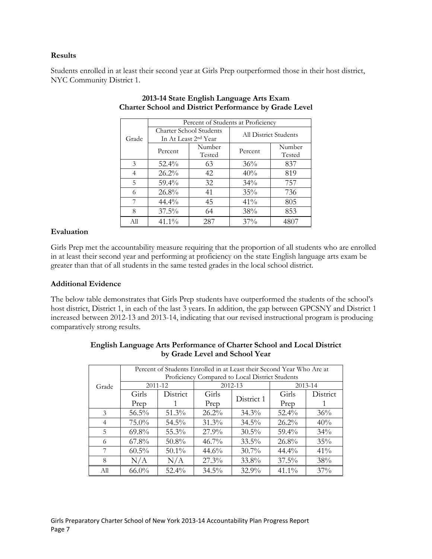## **Results**

Students enrolled in at least their second year at Girls Prep outperformed those in their host district, NYC Community District 1.

|       |                                                             |                  | Percent of Students at Proficiency |                  |  |
|-------|-------------------------------------------------------------|------------------|------------------------------------|------------------|--|
| Grade | Charter School Students<br>In At Least 2 <sup>nd</sup> Year |                  | All District Students              |                  |  |
|       | Percent                                                     | Number<br>Tested | Percent                            | Number<br>Tested |  |
| 3     | $52.4\%$                                                    | 63               | 36%                                | 837              |  |
| 4     | $26.2\%$                                                    | 42               | 40%                                | 819              |  |
| 5     | $59.4\%$                                                    | 32               | 34%                                | 757              |  |
| 6     | 26.8%                                                       | 41               | 35%                                | 736              |  |
| 7     | $44.4\%$                                                    | 45               | 41%                                | 805              |  |
| 8     | $37.5\%$                                                    | 64               | 38%                                | 853              |  |
| All   | 41.1%                                                       | 287              | 37%                                | 4807             |  |

# **2013-14 State English Language Arts Exam Charter School and District Performance by Grade Level**

# **Evaluation**

Girls Prep met the accountability measure requiring that the proportion of all students who are enrolled in at least their second year and performing at proficiency on the state English language arts exam be greater than that of all students in the same tested grades in the local school district.

# **Additional Evidence**

The below table demonstrates that Girls Prep students have outperformed the students of the school's host district, District 1, in each of the last 3 years. In addition, the gap between GPCSNY and District 1 increased between 2012-13 and 2013-14, indicating that our revised instructional program is producing comparatively strong results.

|                | Percent of Students Enrolled in at Least their Second Year Who Are at |          |          |            |          |             |  |  |  |  |  |
|----------------|-----------------------------------------------------------------------|----------|----------|------------|----------|-------------|--|--|--|--|--|
|                | Proficiency Compared to Local District Students                       |          |          |            |          |             |  |  |  |  |  |
| Grade          | 2011-12                                                               |          |          | 2012-13    |          | $2013 - 14$ |  |  |  |  |  |
|                | Girls                                                                 | District | Girls    | District 1 | Girls    | District    |  |  |  |  |  |
|                | Prep                                                                  |          | Prep     |            | Prep     |             |  |  |  |  |  |
| 3              | $56.5\%$                                                              | $51.3\%$ | $26.2\%$ | $34.3\%$   | $52.4\%$ | 36%         |  |  |  |  |  |
| $\overline{4}$ | $75.0\%$                                                              | $54.5\%$ | $31.3\%$ | $34.5\%$   | $26.2\%$ | 40%         |  |  |  |  |  |
| 5              | $69.8\%$                                                              | $55.3\%$ | $27.9\%$ | $30.5\%$   | $59.4\%$ | $34\%$      |  |  |  |  |  |
| 6              | $67.8\%$                                                              | $50.8\%$ | $46.7\%$ | $33.5\%$   | $26.8\%$ | 35%         |  |  |  |  |  |
| 7              | $60.5\%$                                                              | $50.1\%$ | 44.6%    | $30.7\%$   | $44.4\%$ | $41\%$      |  |  |  |  |  |
| 8              | N/A                                                                   | N/A      | $27.3\%$ | 33.8%      | $37.5\%$ | 38%         |  |  |  |  |  |
| All            | $66.0\%$                                                              | $52.4\%$ | $34.5\%$ | $32.9\%$   | $41.1\%$ | $37\%$      |  |  |  |  |  |

# **English Language Arts Performance of Charter School and Local District by Grade Level and School Year**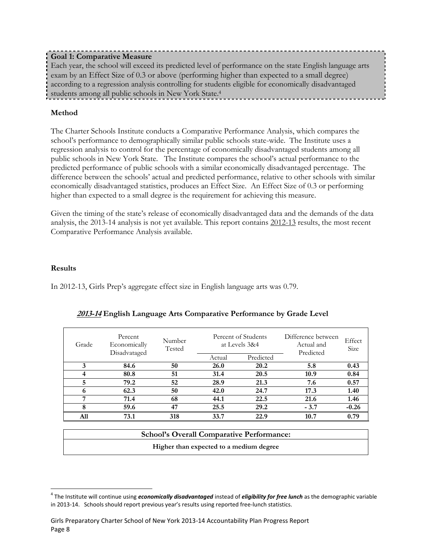# **Goal 1: Comparative Measure**

Each year, the school will exceed its predicted level of performance on the state English language arts exam by an Effect Size of 0.3 or above (performing higher than expected to a small degree) according to a regression analysis controlling for students eligible for economically disadvantaged students among all public schools in New York State.<sup>4</sup>

## **Method**

The Charter Schools Institute conducts a Comparative Performance Analysis, which compares the school's performance to demographically similar public schools state-wide. The Institute uses a regression analysis to control for the percentage of economically disadvantaged students among all public schools in New York State. The Institute compares the school's actual performance to the predicted performance of public schools with a similar economically disadvantaged percentage. The difference between the schools' actual and predicted performance, relative to other schools with similar economically disadvantaged statistics, produces an Effect Size. An Effect Size of 0.3 or performing higher than expected to a small degree is the requirement for achieving this measure.

Given the timing of the state's release of economically disadvantaged data and the demands of the data analysis, the 2013-14 analysis is not yet available. This report contains 2012-13 results, the most recent Comparative Performance Analysis available.

## **Results**

In 2012-13, Girls Prep's aggregate effect size in English language arts was 0.79.

| Grade | Percent<br>Number<br>Economically<br>Tested<br>Disadvataged |                                                                           |        | Percent of Students<br>at Levels 3&4 | Difference between<br>Actual and<br>Predicted | Effect<br>Size |
|-------|-------------------------------------------------------------|---------------------------------------------------------------------------|--------|--------------------------------------|-----------------------------------------------|----------------|
|       |                                                             |                                                                           | Actual | Predicted                            |                                               |                |
| 3     | 84.6                                                        | 50                                                                        | 26.0   | 20.2                                 | 5.8                                           | 0.43           |
|       | 80.8                                                        | 51                                                                        | 31.4   | 20.5                                 | 10.9                                          | 0.84           |
| 5     | 79.2                                                        | 52                                                                        | 28.9   | 21.3                                 | 7.6                                           | 0.57           |
| 6     | 62.3                                                        | 50                                                                        | 42.0   | 24.7                                 | 17.3                                          | 1.40           |
| 7     | 71.4                                                        | 68                                                                        | 44.1   | 22.5                                 | 21.6                                          | 1.46           |
| 8     | 59.6                                                        | 47                                                                        | 25.5   | 29.2                                 | $-3.7$                                        | $-0.26$        |
| All   | 73.1                                                        | 318                                                                       | 33.7   | 22.9                                 | 10.7                                          | 0.79           |
|       |                                                             | $0.1 \quad 11 \quad \Omega \qquad 11 \quad \Omega \qquad 11 \quad \Omega$ |        |                                      |                                               |                |

# **2013-14 English Language Arts Comparative Performance by Grade Level**

| <b>School's Overall Comparative Performance:</b> |  |
|--------------------------------------------------|--|
| Higher than expected to a medium degree          |  |

<sup>4</sup> The Institute will continue using *economically disadvantaged* instead of *eligibility for free lunch* as the demographic variable in 2013-14. Schools should report previous year's results using reported free-lunch statistics.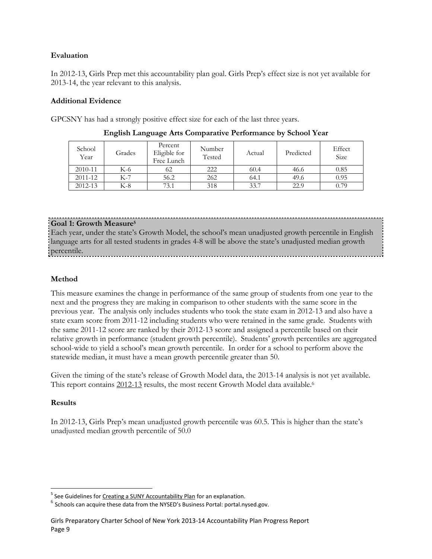# **Evaluation**

In 2012-13, Girls Prep met this accountability plan goal. Girls Prep's effect size is not yet available for 2013-14, the year relevant to this analysis.

# **Additional Evidence**

GPCSNY has had a strongly positive effect size for each of the last three years.

| School<br>Year | Grades | Percent<br>Eligible for<br>Free Lunch | Number<br>Tested | Actual | Predicted | Effect<br>Size |
|----------------|--------|---------------------------------------|------------------|--------|-----------|----------------|
| 2010-11        | K-6    | 62                                    | 222              | 60.4   | 46.6      | 0.85           |
| 2011-12        | K-7    | 56.2                                  | 262              | 64.1   | 49.6      | 0.95           |
| 2012-13        | K-8    | 73.1                                  | 318              | 33.7   | 22.9      | 0.79           |

**English Language Arts Comparative Performance by School Year**

## **Goal 1: Growth Measure<sup>5</sup>**

Each year, under the state's Growth Model, the school's mean unadjusted growth percentile in English language arts for all tested students in grades 4-8 will be above the state's unadjusted median growth percentile.

# **Method**

This measure examines the change in performance of the same group of students from one year to the next and the progress they are making in comparison to other students with the same score in the previous year. The analysis only includes students who took the state exam in 2012-13 and also have a state exam score from 2011-12 including students who were retained in the same grade. Students with the same 2011-12 score are ranked by their 2012-13 score and assigned a percentile based on their relative growth in performance (student growth percentile). Students' growth percentiles are aggregated school-wide to yield a school's mean growth percentile. In order for a school to perform above the statewide median, it must have a mean growth percentile greater than 50.

Given the timing of the state's release of Growth Model data, the 2013-14 analysis is not yet available. This report contains 2012-13 results, the most recent Growth Model data available.<sup>6</sup>

# **Results**

In 2012-13, Girls Prep's mean unadjusted growth percentile was 60.5. This is higher than the state's unadjusted median growth percentile of 50.0

<sup>&</sup>lt;u>s</u><br><sup>5</sup> See Guidelines for <u>Creating [a SUNY Accountability Plan](http://www.newyorkcharters.org/operate/first-year-schools/accountability-plan/)</u> for an explanation.

 $^6$  Schools can acquire these data from the NYSED's Business Portal: portal.nysed.gov.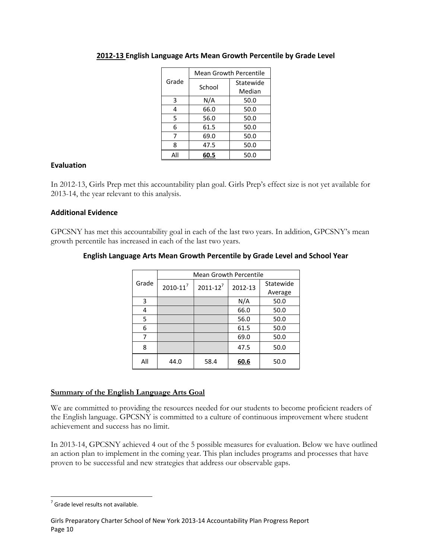|       | <b>Mean Growth Percentile</b> |           |  |  |  |
|-------|-------------------------------|-----------|--|--|--|
| Grade | School                        | Statewide |  |  |  |
|       |                               | Median    |  |  |  |
| 3     | N/A                           | 50.0      |  |  |  |
| 4     | 66.0                          | 50.0      |  |  |  |
| 5     | 56.0                          | 50.0      |  |  |  |
| 6     | 61.5                          | 50.0      |  |  |  |
| 7     | 69.0                          | 50.0      |  |  |  |
| 8     | 47.5                          | 50.0      |  |  |  |
| ΑIΙ   | 60.5                          | 50.0      |  |  |  |

# **2012-13 English Language Arts Mean Growth Percentile by Grade Level**

## **Evaluation**

In 2012-13, Girls Prep met this accountability plan goal. Girls Prep's effect size is not yet available for 2013-14, the year relevant to this analysis.

## **Additional Evidence**

GPCSNY has met this accountability goal in each of the last two years. In addition, GPCSNY's mean growth percentile has increased in each of the last two years.

|       | <b>Mean Growth Percentile</b> |                 |         |           |  |  |  |  |
|-------|-------------------------------|-----------------|---------|-----------|--|--|--|--|
| Grade | $2010 - 11^7$                 | $2011 - 12^{7}$ | 2012-13 | Statewide |  |  |  |  |
|       |                               |                 |         | Average   |  |  |  |  |
| 3     |                               |                 | N/A     | 50.0      |  |  |  |  |
| 4     |                               |                 | 66.0    | 50.0      |  |  |  |  |
| 5     |                               |                 | 56.0    | 50.0      |  |  |  |  |
| 6     |                               |                 | 61.5    | 50.0      |  |  |  |  |
| 7     |                               |                 | 69.0    | 50.0      |  |  |  |  |
| 8     |                               |                 | 47.5    | 50.0      |  |  |  |  |
| All   | 44.0                          | 58.4            | 60.6    | 50.0      |  |  |  |  |

## **English Language Arts Mean Growth Percentile by Grade Level and School Year**

## **Summary of the English Language Arts Goal**

We are committed to providing the resources needed for our students to become proficient readers of the English language. GPCSNY is committed to a culture of continuous improvement where student achievement and success has no limit.

In 2013-14, GPCSNY achieved 4 out of the 5 possible measures for evaluation. Below we have outlined an action plan to implement in the coming year. This plan includes programs and processes that have proven to be successful and new strategies that address our observable gaps.

  $<sup>7</sup>$  Grade level results not available.</sup>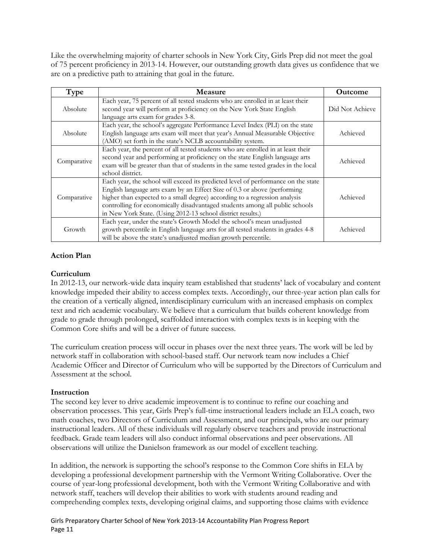Like the overwhelming majority of charter schools in New York City, Girls Prep did not meet the goal of 75 percent proficiency in 2013-14. However, our outstanding growth data gives us confidence that we are on a predictive path to attaining that goal in the future.

| Type        | <b>Measure</b>                                                                                                                                                                                                                                                                                                                                                                             | <b>Outcome</b>  |
|-------------|--------------------------------------------------------------------------------------------------------------------------------------------------------------------------------------------------------------------------------------------------------------------------------------------------------------------------------------------------------------------------------------------|-----------------|
| Absolute    | Each year, 75 percent of all tested students who are enrolled in at least their<br>second year will perform at proficiency on the New York State English<br>language arts exam for grades 3-8.                                                                                                                                                                                             | Did Not Achieve |
| Absolute    | Each year, the school's aggregate Performance Level Index (PLI) on the state<br>English language arts exam will meet that year's Annual Measurable Objective<br>(AMO) set forth in the state's NCLB accountability system.                                                                                                                                                                 | Achieved        |
| Comparative | Each year, the percent of all tested students who are enrolled in at least their<br>second year and performing at proficiency on the state English language arts<br>exam will be greater than that of students in the same tested grades in the local<br>school district.                                                                                                                  | Achieved        |
| Comparative | Each year, the school will exceed its predicted level of performance on the state<br>English language arts exam by an Effect Size of 0.3 or above (performing<br>higher than expected to a small degree) according to a regression analysis<br>controlling for economically disadvantaged students among all public schools<br>in New York State. (Using 2012-13 school district results.) | Achieved        |
| Growth      | Each year, under the state's Growth Model the school's mean unadjusted<br>growth percentile in English language arts for all tested students in grades 4-8<br>will be above the state's unadjusted median growth percentile.                                                                                                                                                               | Achieved        |

# **Action Plan**

# **Curriculum**

In 2012-13, our network-wide data inquiry team established that students' lack of vocabulary and content knowledge impeded their ability to access complex texts. Accordingly, our three-year action plan calls for the creation of a vertically aligned, interdisciplinary curriculum with an increased emphasis on complex text and rich academic vocabulary. We believe that a curriculum that builds coherent knowledge from grade to grade through prolonged, scaffolded interaction with complex texts is in keeping with the Common Core shifts and will be a driver of future success.

The curriculum creation process will occur in phases over the next three years. The work will be led by network staff in collaboration with school-based staff. Our network team now includes a Chief Academic Officer and Director of Curriculum who will be supported by the Directors of Curriculum and Assessment at the school.

## **Instruction**

The second key lever to drive academic improvement is to continue to refine our coaching and observation processes. This year, Girls Prep's full-time instructional leaders include an ELA coach, two math coaches, two Directors of Curriculum and Assessment, and our principals, who are our primary instructional leaders. All of these individuals will regularly observe teachers and provide instructional feedback. Grade team leaders will also conduct informal observations and peer observations. All observations will utilize the Danielson framework as our model of excellent teaching.

In addition, the network is supporting the school's response to the Common Core shifts in ELA by developing a professional development partnership with the Vermont Writing Collaborative. Over the course of year-long professional development, both with the Vermont Writing Collaborative and with network staff, teachers will develop their abilities to work with students around reading and comprehending complex texts, developing original claims, and supporting those claims with evidence

Girls Preparatory Charter School of New York 2013-14 Accountability Plan Progress Report Page 11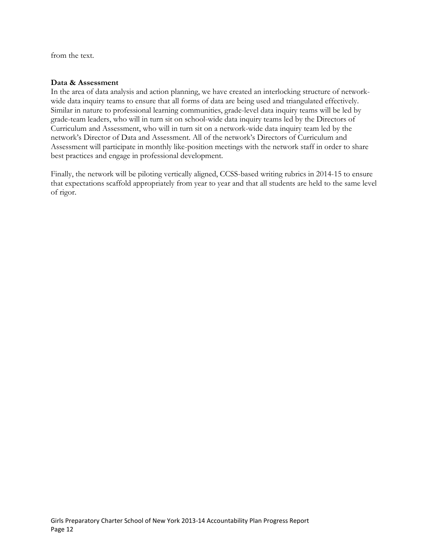from the text.

#### **Data & Assessment**

In the area of data analysis and action planning, we have created an interlocking structure of networkwide data inquiry teams to ensure that all forms of data are being used and triangulated effectively. Similar in nature to professional learning communities, grade-level data inquiry teams will be led by grade-team leaders, who will in turn sit on school-wide data inquiry teams led by the Directors of Curriculum and Assessment, who will in turn sit on a network-wide data inquiry team led by the network's Director of Data and Assessment. All of the network's Directors of Curriculum and Assessment will participate in monthly like-position meetings with the network staff in order to share best practices and engage in professional development.

Finally, the network will be piloting vertically aligned, CCSS-based writing rubrics in 2014-15 to ensure that expectations scaffold appropriately from year to year and that all students are held to the same level of rigor.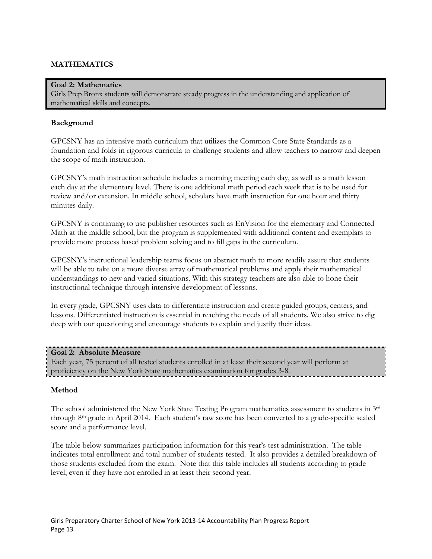# **MATHEMATICS**

#### **Goal 2: Mathematics**

Girls Prep Bronx students will demonstrate steady progress in the understanding and application of mathematical skills and concepts.

#### **Background**

GPCSNY has an intensive math curriculum that utilizes the Common Core State Standards as a foundation and folds in rigorous curricula to challenge students and allow teachers to narrow and deepen the scope of math instruction.

GPCSNY's math instruction schedule includes a morning meeting each day, as well as a math lesson each day at the elementary level. There is one additional math period each week that is to be used for review and/or extension. In middle school, scholars have math instruction for one hour and thirty minutes daily.

GPCSNY is continuing to use publisher resources such as EnVision for the elementary and Connected Math at the middle school, but the program is supplemented with additional content and exemplars to provide more process based problem solving and to fill gaps in the curriculum.

GPCSNY's instructional leadership teams focus on abstract math to more readily assure that students will be able to take on a more diverse array of mathematical problems and apply their mathematical understandings to new and varied situations. With this strategy teachers are also able to hone their instructional technique through intensive development of lessons.

In every grade, GPCSNY uses data to differentiate instruction and create guided groups, centers, and lessons. Differentiated instruction is essential in reaching the needs of all students. We also strive to dig deep with our questioning and encourage students to explain and justify their ideas.

#### **Goal 2: Absolute Measure**

Each year, 75 percent of all tested students enrolled in at least their second year will perform at proficiency on the New York State mathematics examination for grades 3-8.

## **Method**

The school administered the New York State Testing Program mathematics assessment to students in 3rd through 8th grade in April 2014. Each student's raw score has been converted to a grade-specific scaled score and a performance level.

The table below summarizes participation information for this year's test administration. The table indicates total enrollment and total number of students tested. It also provides a detailed breakdown of those students excluded from the exam. Note that this table includes all students according to grade level, even if they have not enrolled in at least their second year.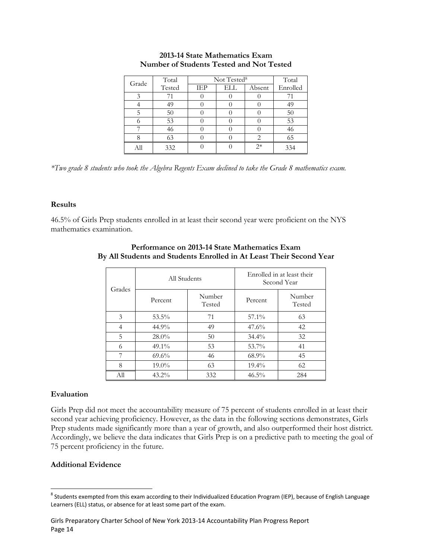| Grade | Total  |     | Not Tested <sup>8</sup> |        |          |  |
|-------|--------|-----|-------------------------|--------|----------|--|
|       | Tested | IEP | ELL                     | Absent | Enrolled |  |
|       |        |     |                         |        |          |  |
|       | 49     |     |                         |        | 49       |  |
|       | 50     |     |                         |        | 50       |  |
|       | 53     |     |                         |        | 53       |  |
|       |        |     |                         |        | 46       |  |
|       | 63     |     |                         |        | 65       |  |
| All   | 332    |     |                         | $2*$   | 334      |  |

## **2013-14 State Mathematics Exam Number of Students Tested and Not Tested**

*\*Two grade 8 students who took the Algebra Regents Exam declined to take the Grade 8 mathematics exam.*

#### **Results**

46.5% of Girls Prep students enrolled in at least their second year were proficient on the NYS mathematics examination.

|        | All Students |                  | Enrolled in at least their<br>Second Year |                  |  |
|--------|--------------|------------------|-------------------------------------------|------------------|--|
| Grades | Percent      | Number<br>Tested | Percent                                   | Number<br>Tested |  |
| 3      | 53.5%        | 71               | 57.1%                                     | 63               |  |
| 4      | 44.9%        | 49               | 47.6%                                     | 42               |  |
| 5      | 28.0%        | 50               | $34.4\%$                                  | 32               |  |
| 6      | $49.1\%$     | 53               | 53.7%                                     | 41               |  |
| 7      | 69.6%        | 46               | $68.9\%$                                  | 45               |  |
| 8      | $19.0\%$     | 63               | $19.4\%$                                  | 62               |  |
| All    | $43.2\%$     | 332              | $46.5\%$                                  | 284              |  |

## **Performance on 2013-14 State Mathematics Exam By All Students and Students Enrolled in At Least Their Second Year**

# **Evaluation**

Girls Prep did not meet the accountability measure of 75 percent of students enrolled in at least their second year achieving proficiency. However, as the data in the following sections demonstrates, Girls Prep students made significantly more than a year of growth, and also outperformed their host district. Accordingly, we believe the data indicates that Girls Prep is on a predictive path to meeting the goal of 75 percent proficiency in the future.

## **Additional Evidence**

<sup>&</sup>lt;sup>8</sup> Students exempted from this exam according to their Individualized Education Program (IEP), because of English Language Learners (ELL) status, or absence for at least some part of the exam.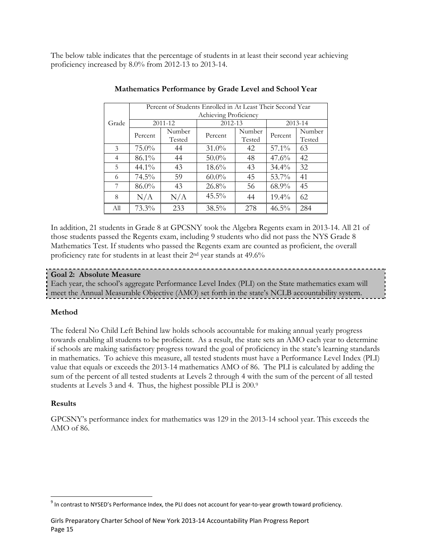The below table indicates that the percentage of students in at least their second year achieving proficiency increased by 8.0% from 2012-13 to 2013-14.

|                | Percent of Students Enrolled in At Least Their Second Year |         |                       |        |          |         |  |  |
|----------------|------------------------------------------------------------|---------|-----------------------|--------|----------|---------|--|--|
|                |                                                            |         | Achieving Proficiency |        |          |         |  |  |
| Grade          |                                                            | 2011-12 | 2012-13               |        |          | 2013-14 |  |  |
|                | Percent                                                    | Number  | Percent               | Number | Percent  | Number  |  |  |
|                |                                                            | Tested  |                       | Tested |          | Tested  |  |  |
| 3              | $75.0\%$                                                   | 44      | $31.0\%$              | 42     | 57.1%    | 63      |  |  |
| $\overline{4}$ | 86.1%                                                      | 44      | $50.0\%$              | 48     | $47.6\%$ | 42      |  |  |
| 5              | $44.1\%$                                                   | 43      | $18.6\%$              | 43     | $34.4\%$ | 32      |  |  |
| 6              | $74.5\%$                                                   | 59      | $60.0\%$              | 45     | 53.7%    | 41      |  |  |
| 7              | 86.0%                                                      | 43      | 26.8%                 | 56     | 68.9%    | 45      |  |  |
| 8              | N/A                                                        | N/A     | $45.5\%$              | 44     | $19.4\%$ | 62      |  |  |
| All            | 73.3%                                                      | 233     | 38.5%                 | 278    | $46.5\%$ | 284     |  |  |

## **Mathematics Performance by Grade Level and School Year**

In addition, 21 students in Grade 8 at GPCSNY took the Algebra Regents exam in 2013-14. All 21 of those students passed the Regents exam, including 9 students who did not pass the NYS Grade 8 Mathematics Test. If students who passed the Regents exam are counted as proficient, the overall proficiency rate for students in at least their 2nd year stands at 49.6%

## **Goal 2: Absolute Measure**

Each year, the school's aggregate Performance Level Index (PLI) on the State mathematics exam will meet the Annual Measurable Objective (AMO) set forth in the state's NCLB accountability system.

## **Method**

The federal No Child Left Behind law holds schools accountable for making annual yearly progress towards enabling all students to be proficient. As a result, the state sets an AMO each year to determine if schools are making satisfactory progress toward the goal of proficiency in the state's learning standards in mathematics. To achieve this measure, all tested students must have a Performance Level Index (PLI) value that equals or exceeds the 2013-14 mathematics AMO of 86. The PLI is calculated by adding the sum of the percent of all tested students at Levels 2 through 4 with the sum of the percent of all tested students at Levels 3 and 4. Thus, the highest possible PLI is 200.<sup>9</sup>

## **Results**

GPCSNY's performance index for mathematics was 129 in the 2013-14 school year. This exceeds the AMO of 86.

 $^9$  In contrast to NYSED's Performance Index, the PLI does not account for year-to-year growth toward proficiency.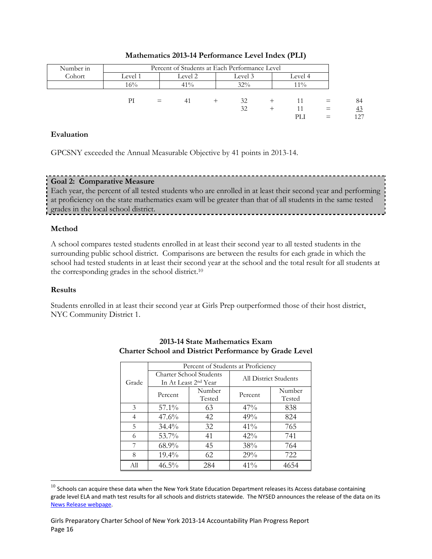| Number in | Percent of Students at Each Performance Level |     |                               |  |     |  |       |          |     |
|-----------|-----------------------------------------------|-----|-------------------------------|--|-----|--|-------|----------|-----|
| Cohort    | Level 1                                       |     | Level 2<br>Level 3<br>Level 4 |  |     |  |       |          |     |
|           | 16%                                           |     | $41\%$                        |  | 32% |  | $1\%$ |          |     |
|           |                                               |     |                               |  |     |  |       |          |     |
|           | РI                                            | $=$ | 41                            |  | 32  |  |       | $=$      | 84  |
|           |                                               |     |                               |  | 32  |  |       | $\equiv$ | 43  |
|           |                                               |     |                               |  |     |  | PЫ    |          | 127 |

## **Mathematics 2013-14 Performance Level Index (PLI)**

## **Evaluation**

GPCSNY exceeded the Annual Measurable Objective by 41 points in 2013-14.

# **Goal 2: Comparative Measure**

Each year, the percent of all tested students who are enrolled in at least their second year and performing at proficiency on the state mathematics exam will be greater than that of all students in the same tested grades in the local school district.

## **Method**

A school compares tested students enrolled in at least their second year to all tested students in the surrounding public school district. Comparisons are between the results for each grade in which the school had tested students in at least their second year at the school and the total result for all students at the corresponding grades in the school district.<sup>10</sup>

# **Results**

l

Students enrolled in at least their second year at Girls Prep outperformed those of their host district, NYC Community District 1.

|       | Percent of Students at Proficiency |                                  |                              |                  |  |  |  |
|-------|------------------------------------|----------------------------------|------------------------------|------------------|--|--|--|
| Grade | Charter School Students            | In At Least 2 <sup>nd</sup> Year | <b>All District Students</b> |                  |  |  |  |
|       | Percent                            | Number<br>Tested                 | Percent                      | Number<br>Tested |  |  |  |
| 3     | $57.1\%$                           | 63                               | 47%                          | 838              |  |  |  |
| 4     | $47.6\%$                           | 42                               | 49%                          | 824              |  |  |  |
| 5     | $34.4\%$                           | 32                               | 41%                          | 765              |  |  |  |
| 6     | $53.7\%$                           | 41                               | $42\%$                       | 741              |  |  |  |
| 7     | $68.9\%$                           | 45                               | 38%                          | 764              |  |  |  |
| 8     | $19.4\%$<br>62                     |                                  | 29%                          | 722              |  |  |  |
| All   | $46.5\%$                           | 284                              | 41%                          | 4654             |  |  |  |

# **2013-14 State Mathematics Exam Charter School and District Performance by Grade Level**

 $^{10}$  Schools can acquire these data when the New York State Education Department releases its Access database containing grade level ELA and math test results for all schools and districts statewide. The NYSED announces the release of the data on its [News Release webpage.](http://www.oms.nysed.gov/press/)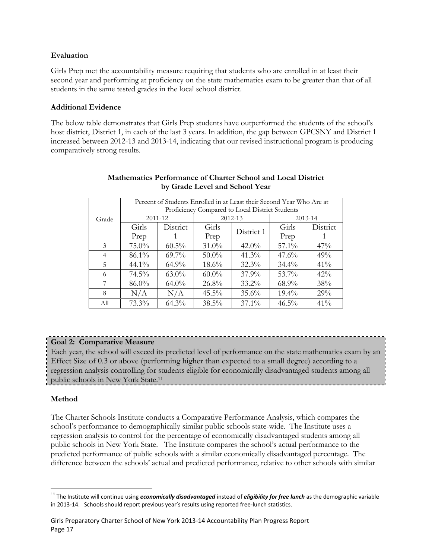## **Evaluation**

Girls Prep met the accountability measure requiring that students who are enrolled in at least their second year and performing at proficiency on the state mathematics exam to be greater than that of all students in the same tested grades in the local school district.

## **Additional Evidence**

The below table demonstrates that Girls Prep students have outperformed the students of the school's host district, District 1, in each of the last 3 years. In addition, the gap between GPCSNY and District 1 increased between 2012-13 and 2013-14, indicating that our revised instructional program is producing comparatively strong results.

|       | Percent of Students Enrolled in at Least their Second Year Who Are at |          |          |             |          |          |  |  |  |
|-------|-----------------------------------------------------------------------|----------|----------|-------------|----------|----------|--|--|--|
|       | Proficiency Compared to Local District Students                       |          |          |             |          |          |  |  |  |
|       | $2011 - 12$                                                           |          |          | $2012 - 13$ |          | 2013-14  |  |  |  |
| Grade |                                                                       |          |          |             |          |          |  |  |  |
|       | Girls                                                                 | District | Girls    | District 1  | Girls    | District |  |  |  |
|       | Prep                                                                  |          | Prep     |             | Prep     |          |  |  |  |
| 3     | $75.0\%$                                                              | $60.5\%$ | $31.0\%$ | $42.0\%$    | $57.1\%$ | 47%      |  |  |  |
| 4     | 86.1%                                                                 | $69.7\%$ | $50.0\%$ | $41.3\%$    | $47.6\%$ | 49%      |  |  |  |
| 5     | $44.1\%$                                                              | $64.9\%$ | $18.6\%$ | $32.3\%$    | $34.4\%$ | $41\%$   |  |  |  |
| 6     | $74.5\%$                                                              | $63.0\%$ | $60.0\%$ | $37.9\%$    | $53.7\%$ | $42\%$   |  |  |  |
| 7     | $86.0\%$                                                              | $64.0\%$ | $26.8\%$ | $33.2\%$    | $68.9\%$ | 38%      |  |  |  |
| 8     | N/A                                                                   | N/A      | $45.5\%$ | 35.6%       | $19.4\%$ | 29%      |  |  |  |
| All   | 73.3%                                                                 | $64.3\%$ | 38.5%    | $37.1\%$    | $46.5\%$ | 41%      |  |  |  |

## **Mathematics Performance of Charter School and Local District by Grade Level and School Year**

# **Goal 2: Comparative Measure**

Each year, the school will exceed its predicted level of performance on the state mathematics exam by an Effect Size of 0.3 or above (performing higher than expected to a small degree) according to a regression analysis controlling for students eligible for economically disadvantaged students among all public schools in New York State.<sup>11</sup>

# **Method**

The Charter Schools Institute conducts a Comparative Performance Analysis, which compares the school's performance to demographically similar public schools state-wide. The Institute uses a regression analysis to control for the percentage of economically disadvantaged students among all public schools in New York State. The Institute compares the school's actual performance to the predicted performance of public schools with a similar economically disadvantaged percentage. The difference between the schools' actual and predicted performance, relative to other schools with similar

<sup>&</sup>lt;sup>11</sup> The Institute will continue using *economically disadvantaged* instead of *eligibility for free lunch* as the demographic variable in 2013-14. Schools should report previous year's results using reported free-lunch statistics.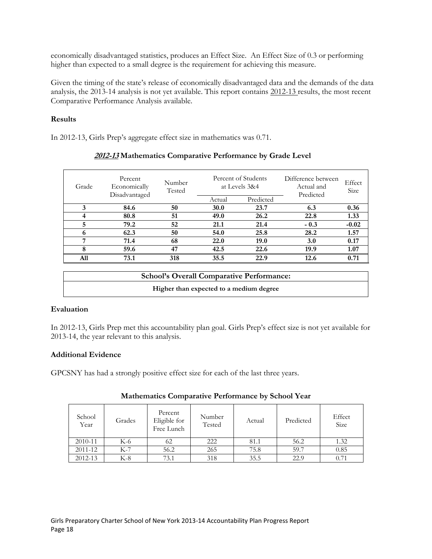economically disadvantaged statistics, produces an Effect Size. An Effect Size of 0.3 or performing higher than expected to a small degree is the requirement for achieving this measure.

Given the timing of the state's release of economically disadvantaged data and the demands of the data analysis, the 2013-14 analysis is not yet available. This report contains 2012-13 results, the most recent Comparative Performance Analysis available.

## **Results**

In 2012-13, Girls Prep's aggregate effect size in mathematics was 0.71.

| Grade | Percent<br>Economically<br>Disadvantaged | Number<br>Tested |             | Percent of Students<br>Difference between<br>at Levels 3&4<br>Actual and<br>Predicted |        | Effect<br>Size |
|-------|------------------------------------------|------------------|-------------|---------------------------------------------------------------------------------------|--------|----------------|
|       |                                          |                  | Actual      | Predicted                                                                             |        |                |
| 3     | 84.6                                     | 50               | <b>30.0</b> | 23.7                                                                                  | 6.3    | 0.36           |
| 4     | 80.8                                     | 51               | 49.0        | 26.2                                                                                  | 22.8   | 1.33           |
| 5     | 79.2                                     | 52               | 21.1        | 21.4                                                                                  | $-0.3$ | $-0.02$        |
| 6     | 62.3                                     | 50               | 54.0        | 25.8                                                                                  | 28.2   | 1.57           |
| ⇁     | 71.4                                     | 68               | 22.0        | 19.0                                                                                  | 3.0    | 0.17           |
| 8     | 59.6                                     | 47               | 42.5        | 22.6                                                                                  | 19.9   | 1.07           |
| A11   | 73.1                                     | 318              | 35.5        | 22.9                                                                                  | 12.6   | 0.71           |

# **2012-13 Mathematics Comparative Performance by Grade Level**

| <b>School's Overall Comparative Performance:</b> |
|--------------------------------------------------|
| Higher than expected to a medium degree          |

# **Evaluation**

In 2012-13, Girls Prep met this accountability plan goal. Girls Prep's effect size is not yet available for 2013-14, the year relevant to this analysis.

# **Additional Evidence**

GPCSNY has had a strongly positive effect size for each of the last three years.

| School<br>Year | Grades | Percent<br>Eligible for<br>Free Lunch | Number<br>Tested | Actual | Predicted | Effect<br>Size |
|----------------|--------|---------------------------------------|------------------|--------|-----------|----------------|
| 2010-11        | K-6    | 62                                    | 222              | 81.1   | 56.2      | 1.32           |
| 2011-12        | K-7    | 56.2                                  | 265              | 75.8   | 59.7      | 0.85           |
| 2012-13        | $K-8$  | 73.1                                  | 318              | 35.5   | 22.9      | 0.71           |

# **Mathematics Comparative Performance by School Year**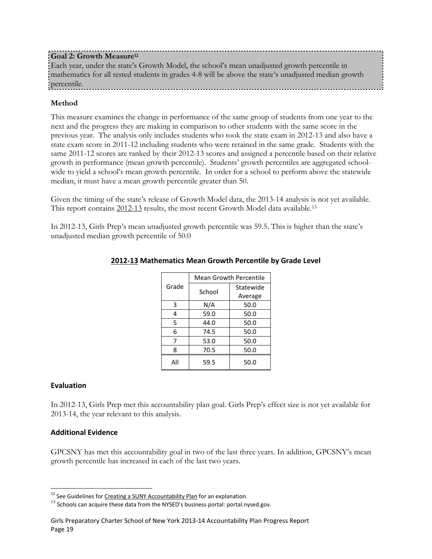# **Goal 2: Growth Measure<sup>12</sup>**

Each year, under the state's Growth Model, the school's mean unadjusted growth percentile in mathematics for all tested students in grades 4-8 will be above the state's unadjusted median growth percentile.

# **Method**

This measure examines the change in performance of the same group of students from one year to the next and the progress they are making in comparison to other students with the same score in the previous year. The analysis only includes students who took the state exam in 2012-13 and also have a state exam score in 2011-12 including students who were retained in the same grade. Students with the same 2011-12 scores are ranked by their 2012-13 scores and assigned a percentile based on their relative growth in performance (mean growth percentile). Students' growth percentiles are aggregated schoolwide to yield a school's mean growth percentile. In order for a school to perform above the statewide median, it must have a mean growth percentile greater than 50.

Given the timing of the state's release of Growth Model data, the 2013-14 analysis is not yet available. This report contains 2012-13 results, the most recent Growth Model data available.<sup>13</sup>

In 2012-13, Girls Prep's mean unadjusted growth percentile was 59.5. This is higher than the state's unadjusted median growth percentile of 50.0

|       | <b>Mean Growth Percentile</b> |           |  |  |
|-------|-------------------------------|-----------|--|--|
| Grade | School                        | Statewide |  |  |
|       |                               | Average   |  |  |
| 3     | N/A                           | 50.0      |  |  |
| 4     | 59.0                          | 50.0      |  |  |
| 5     | 44.0                          | 50.0      |  |  |
| 6     | 74.5                          | 50.0      |  |  |
| 7     | 53.0                          | 50.0      |  |  |
| 8     | 70.5                          | 50.0      |  |  |
| All   | 59.5                          | 50.0      |  |  |

# **2012-13 Mathematics Mean Growth Percentile by Grade Level**

# **Evaluation**

In 2012-13, Girls Prep met this accountability plan goal. Girls Prep's effect size is not yet available for 2013-14, the year relevant to this analysis.

# **Additional Evidence**

GPCSNY has met this accountability goal in two of the last three years. In addition, GPCSNY's mean growth percentile has increased in each of the last two years.

<sup>&</sup>lt;sup>12</sup> See Guidelines for Creating [a SUNY Accountability Plan](http://www.newyorkcharters.org/operate/first-year-schools/accountability-plan/) for an explanation.

 $^{13}$  Schools can acquire these data from the NYSED's business portal: portal.nysed.gov.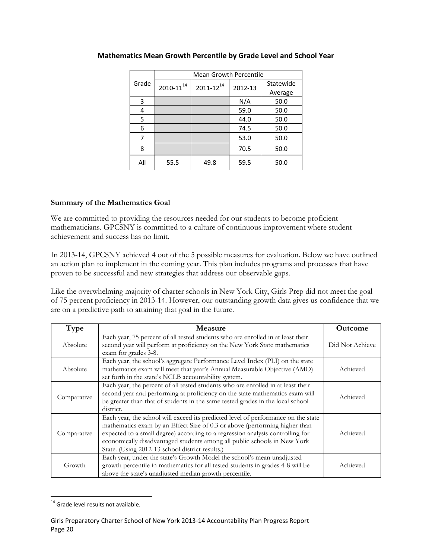|       | <b>Mean Growth Percentile</b> |                  |         |           |  |  |
|-------|-------------------------------|------------------|---------|-----------|--|--|
| Grade | $2010 - 11^{14}$              | $2011 - 12^{14}$ | 2012-13 | Statewide |  |  |
|       |                               |                  |         | Average   |  |  |
| 3     |                               |                  | N/A     | 50.0      |  |  |
| 4     |                               |                  | 59.0    | 50.0      |  |  |
| 5     |                               |                  | 44.0    | 50.0      |  |  |
| 6     |                               |                  | 74.5    | 50.0      |  |  |
| 7     |                               |                  | 53.0    | 50.0      |  |  |
| 8     |                               |                  | 70.5    | 50.0      |  |  |
| All   | 55.5                          | 49.8             | 59.5    | 50.0      |  |  |

# **Mathematics Mean Growth Percentile by Grade Level and School Year**

# **Summary of the Mathematics Goal**

We are committed to providing the resources needed for our students to become proficient mathematicians. GPCSNY is committed to a culture of continuous improvement where student achievement and success has no limit.

In 2013-14, GPCSNY achieved 4 out of the 5 possible measures for evaluation. Below we have outlined an action plan to implement in the coming year. This plan includes programs and processes that have proven to be successful and new strategies that address our observable gaps.

Like the overwhelming majority of charter schools in New York City, Girls Prep did not meet the goal of 75 percent proficiency in 2013-14. However, our outstanding growth data gives us confidence that we are on a predictive path to attaining that goal in the future.

| Type        | Measure                                                                                                                                                                                                                                                                                                                                                                          | <b>Outcome</b>  |
|-------------|----------------------------------------------------------------------------------------------------------------------------------------------------------------------------------------------------------------------------------------------------------------------------------------------------------------------------------------------------------------------------------|-----------------|
| Absolute    | Each year, 75 percent of all tested students who are enrolled in at least their<br>second year will perform at proficiency on the New York State mathematics<br>exam for grades 3-8.                                                                                                                                                                                             | Did Not Achieve |
| Absolute    | Each year, the school's aggregate Performance Level Index (PLI) on the state<br>mathematics exam will meet that year's Annual Measurable Objective (AMO)<br>set forth in the state's NCLB accountability system.                                                                                                                                                                 | Achieved        |
| Comparative | Each year, the percent of all tested students who are enrolled in at least their<br>second year and performing at proficiency on the state mathematics exam will<br>be greater than that of students in the same tested grades in the local school<br>district.                                                                                                                  | Achieved        |
| Comparative | Each year, the school will exceed its predicted level of performance on the state<br>mathematics exam by an Effect Size of 0.3 or above (performing higher than<br>expected to a small degree) according to a regression analysis controlling for<br>economically disadvantaged students among all public schools in New York<br>State. (Using 2012-13 school district results.) | Achieved        |
| Growth      | Each year, under the state's Growth Model the school's mean unadjusted<br>growth percentile in mathematics for all tested students in grades 4-8 will be<br>above the state's unadjusted median growth percentile.                                                                                                                                                               | Achieved        |

 <sup>14</sup> Grade level results not available.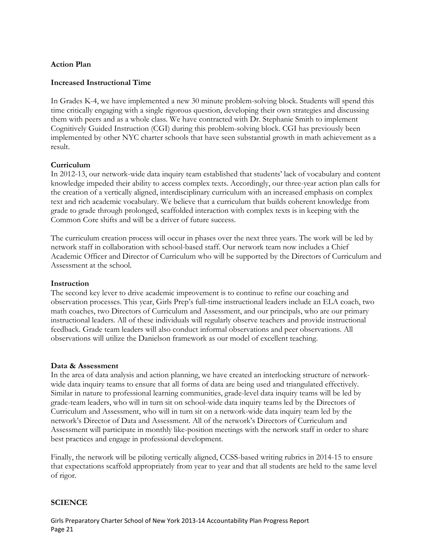## **Action Plan**

## **Increased Instructional Time**

In Grades K-4, we have implemented a new 30 minute problem-solving block. Students will spend this time critically engaging with a single rigorous question, developing their own strategies and discussing them with peers and as a whole class. We have contracted with Dr. Stephanie Smith to implement Cognitively Guided Instruction (CGI) during this problem-solving block. CGI has previously been implemented by other NYC charter schools that have seen substantial growth in math achievement as a result.

## **Curriculum**

In 2012-13, our network-wide data inquiry team established that students' lack of vocabulary and content knowledge impeded their ability to access complex texts. Accordingly, our three-year action plan calls for the creation of a vertically aligned, interdisciplinary curriculum with an increased emphasis on complex text and rich academic vocabulary. We believe that a curriculum that builds coherent knowledge from grade to grade through prolonged, scaffolded interaction with complex texts is in keeping with the Common Core shifts and will be a driver of future success.

The curriculum creation process will occur in phases over the next three years. The work will be led by network staff in collaboration with school-based staff. Our network team now includes a Chief Academic Officer and Director of Curriculum who will be supported by the Directors of Curriculum and Assessment at the school.

## **Instruction**

The second key lever to drive academic improvement is to continue to refine our coaching and observation processes. This year, Girls Prep's full-time instructional leaders include an ELA coach, two math coaches, two Directors of Curriculum and Assessment, and our principals, who are our primary instructional leaders. All of these individuals will regularly observe teachers and provide instructional feedback. Grade team leaders will also conduct informal observations and peer observations. All observations will utilize the Danielson framework as our model of excellent teaching.

## **Data & Assessment**

In the area of data analysis and action planning, we have created an interlocking structure of networkwide data inquiry teams to ensure that all forms of data are being used and triangulated effectively. Similar in nature to professional learning communities, grade-level data inquiry teams will be led by grade-team leaders, who will in turn sit on school-wide data inquiry teams led by the Directors of Curriculum and Assessment, who will in turn sit on a network-wide data inquiry team led by the network's Director of Data and Assessment. All of the network's Directors of Curriculum and Assessment will participate in monthly like-position meetings with the network staff in order to share best practices and engage in professional development.

Finally, the network will be piloting vertically aligned, CCSS-based writing rubrics in 2014-15 to ensure that expectations scaffold appropriately from year to year and that all students are held to the same level of rigor.

# **SCIENCE**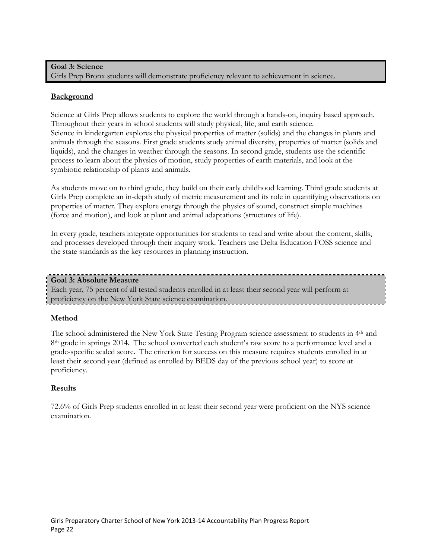## **Goal 3: Science**

Girls Prep Bronx students will demonstrate proficiency relevant to achievement in science.

## **Background**

Science at Girls Prep allows students to explore the world through a hands-on, inquiry based approach. Throughout their years in school students will study physical, life, and earth science. Science in kindergarten explores the physical properties of matter (solids) and the changes in plants and animals through the seasons. First grade students study animal diversity, properties of matter (solids and liquids), and the changes in weather through the seasons. In second grade, students use the scientific process to learn about the physics of motion, study properties of earth materials, and look at the symbiotic relationship of plants and animals.

As students move on to third grade, they build on their early childhood learning. Third grade students at Girls Prep complete an in-depth study of metric measurement and its role in quantifying observations on properties of matter. They explore energy through the physics of sound, construct simple machines (force and motion), and look at plant and animal adaptations (structures of life).

In every grade, teachers integrate opportunities for students to read and write about the content, skills, and processes developed through their inquiry work. Teachers use Delta Education FOSS science and the state standards as the key resources in planning instruction.

#### **Goal 3: Absolute Measure**

Each year, 75 percent of all tested students enrolled in at least their second year will perform at proficiency on the New York State science examination.

## **Method**

The school administered the New York State Testing Program science assessment to students in 4<sup>th</sup> and 8<sup>th</sup> grade in springs 2014. The school converted each student's raw score to a performance level and a grade-specific scaled score. The criterion for success on this measure requires students enrolled in at least their second year (defined as enrolled by BEDS day of the previous school year) to score at proficiency.

## **Results**

72.6% of Girls Prep students enrolled in at least their second year were proficient on the NYS science examination.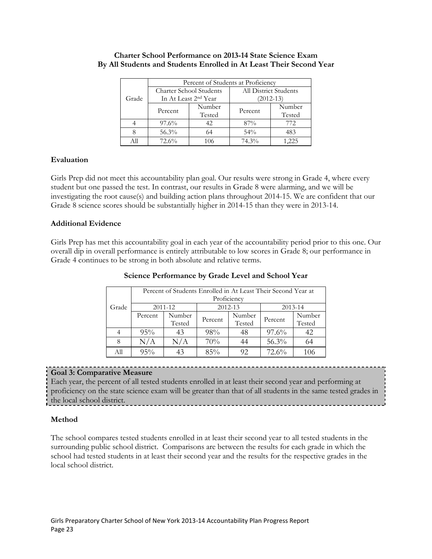|       | Percent of Students at Proficiency |                                  |                       |        |  |  |
|-------|------------------------------------|----------------------------------|-----------------------|--------|--|--|
|       |                                    | <b>Charter School Students</b>   | All District Students |        |  |  |
| Grade |                                    | In At Least 2 <sup>nd</sup> Year | $(2012 - 13)$         |        |  |  |
|       | Percent                            | Number                           | Percent               | Number |  |  |
|       |                                    | Tested                           |                       | Tested |  |  |
|       | $97.6\%$                           | 42.                              | 87%                   | 772    |  |  |
|       | 56.3%                              | 64                               | $54\%$                | 483    |  |  |
|       | 72.6%                              | 106                              | 74.3%                 | .225   |  |  |

## **Charter School Performance on 2013-14 State Science Exam By All Students and Students Enrolled in At Least Their Second Year**

# **Evaluation**

Girls Prep did not meet this accountability plan goal. Our results were strong in Grade 4, where every student but one passed the test. In contrast, our results in Grade 8 were alarming, and we will be investigating the root cause(s) and building action plans throughout 2014-15. We are confident that our Grade 8 science scores should be substantially higher in 2014-15 than they were in 2013-14.

## **Additional Evidence**

Girls Prep has met this accountability goal in each year of the accountability period prior to this one. Our overall dip in overall performance is entirely attributable to low scores in Grade 8; our performance in Grade 4 continues to be strong in both absolute and relative terms.

|       | Percent of Students Enrolled in At Least Their Second Year at<br>Proficiency |                  |         |                  |         |                  |
|-------|------------------------------------------------------------------------------|------------------|---------|------------------|---------|------------------|
| Grade | 2012-13<br>2011-12<br>2013-14                                                |                  |         |                  |         |                  |
|       | Percent                                                                      | Number<br>Tested | Percent | Number<br>Tested | Percent | Number<br>Tested |
|       | 95%                                                                          | 43               | 98%     | 48               | 97.6%   | 42               |
| 8     | N/A                                                                          | $\rm N/A$        | 70%     | 44               | 56.3%   | 64               |
| All   | 95%                                                                          |                  | 85%     | 92               | 72.6%   | 106              |

## **Science Performance by Grade Level and School Year**

## **Goal 3: Comparative Measure**

Each year, the percent of all tested students enrolled in at least their second year and performing at proficiency on the state science exam will be greater than that of all students in the same tested grades in the local school district.

# **Method**

The school compares tested students enrolled in at least their second year to all tested students in the surrounding public school district. Comparisons are between the results for each grade in which the school had tested students in at least their second year and the results for the respective grades in the local school district.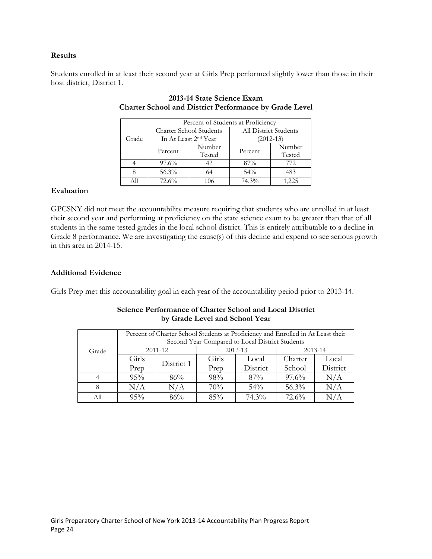## **Results**

Students enrolled in at least their second year at Girls Prep performed slightly lower than those in their host district, District 1.

|       | Percent of Students at Proficiency |                                  |                       |        |  |  |
|-------|------------------------------------|----------------------------------|-----------------------|--------|--|--|
|       | Charter School Students            |                                  | All District Students |        |  |  |
| Grade |                                    | In At Least 2 <sup>nd</sup> Year | $(2012 - 13)$         |        |  |  |
|       | Percent                            | Number                           | Percent               | Number |  |  |
|       |                                    | Tested                           |                       | Tested |  |  |
|       | $97.6\%$                           | 42                               | 87%                   | 772    |  |  |
|       | 56.3%                              | 64                               | 54%                   | 483    |  |  |
|       | 72.6%                              | 106                              | 74.3%                 | 225    |  |  |

# **2013-14 State Science Exam Charter School and District Performance by Grade Level**

## **Evaluation**

GPCSNY did not meet the accountability measure requiring that students who are enrolled in at least their second year and performing at proficiency on the state science exam to be greater than that of all students in the same tested grades in the local school district. This is entirely attributable to a decline in Grade 8 performance. We are investigating the cause(s) of this decline and expend to see serious growth in this area in 2014-15.

## **Additional Evidence**

Girls Prep met this accountability goal in each year of the accountability period prior to 2013-14.

| Science Performance of Charter School and Local District |
|----------------------------------------------------------|
| by Grade Level and School Year                           |

|       | Percent of Charter School Students at Proficiency and Enrolled in At Least their<br>Second Year Compared to Local District Students |            |             |          |          |          |
|-------|-------------------------------------------------------------------------------------------------------------------------------------|------------|-------------|----------|----------|----------|
| Grade |                                                                                                                                     | 2011-12    | $2012 - 13$ |          | 2013-14  |          |
|       | Girls                                                                                                                               | District 1 | Girls       | Local    | Charter  | Local    |
|       | Prep                                                                                                                                |            | Prep        | District | School   | District |
|       | 95%                                                                                                                                 | 86%        | 98%         | $87\%$   | $97.6\%$ | N/A      |
| 8     | N/A                                                                                                                                 | N/A        | 70%         | $54\%$   | 56.3%    | N/A      |
| All   | 95%                                                                                                                                 | 86%        | 85%         | 74.3%    | 72.6%    | N/A      |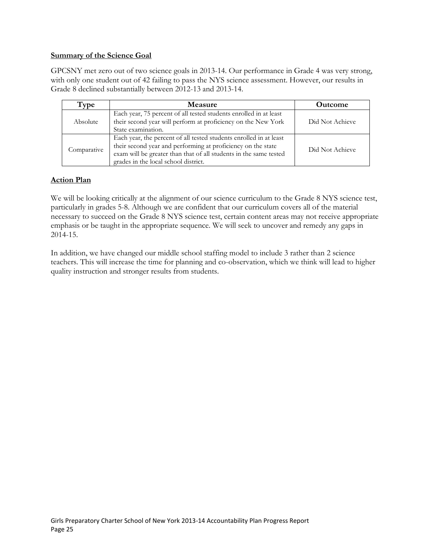## **Summary of the Science Goal**

GPCSNY met zero out of two science goals in 2013-14. Our performance in Grade 4 was very strong, with only one student out of 42 failing to pass the NYS science assessment. However, our results in Grade 8 declined substantially between 2012-13 and 2013-14.

| Type        | <b>Measure</b>                                                                                                                                                                                                                                  | <b>Outcome</b>  |
|-------------|-------------------------------------------------------------------------------------------------------------------------------------------------------------------------------------------------------------------------------------------------|-----------------|
| Absolute    | Each year, 75 percent of all tested students enrolled in at least<br>their second year will perform at proficiency on the New York<br>State examination.                                                                                        | Did Not Achieve |
| Comparative | Each year, the percent of all tested students enrolled in at least<br>their second year and performing at proficiency on the state<br>exam will be greater than that of all students in the same tested<br>grades in the local school district. | Did Not Achieve |

# **Action Plan**

We will be looking critically at the alignment of our science curriculum to the Grade 8 NYS science test, particularly in grades 5-8. Although we are confident that our curriculum covers all of the material necessary to succeed on the Grade 8 NYS science test, certain content areas may not receive appropriate emphasis or be taught in the appropriate sequence. We will seek to uncover and remedy any gaps in 2014-15.

In addition, we have changed our middle school staffing model to include 3 rather than 2 science teachers. This will increase the time for planning and co-observation, which we think will lead to higher quality instruction and stronger results from students.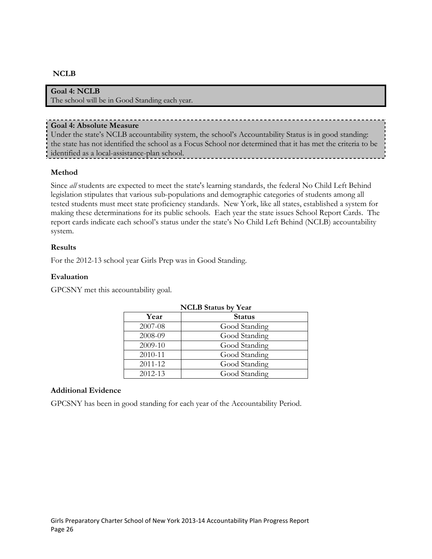## **NCLB**

## **Goal 4: NCLB**

The school will be in Good Standing each year.

#### **Goal 4: Absolute Measure**

Under the state's NCLB accountability system, the school's Accountability Status is in good standing: the state has not identified the school as a Focus School nor determined that it has met the criteria to be identified as a local-assistance-plan school.

## **Method**

Since *all* students are expected to meet the state's learning standards, the federal No Child Left Behind legislation stipulates that various sub-populations and demographic categories of students among all tested students must meet state proficiency standards. New York, like all states, established a system for making these determinations for its public schools. Each year the state issues School Report Cards. The report cards indicate each school's status under the state's No Child Left Behind (NCLB) accountability system.

## **Results**

For the 2012-13 school year Girls Prep was in Good Standing.

## **Evaluation**

GPCSNY met this accountability goal.

| <b>NCLB</b> Status by Year |               |  |  |  |
|----------------------------|---------------|--|--|--|
| Year                       | <b>Status</b> |  |  |  |
| 2007-08                    | Good Standing |  |  |  |
| 2008-09                    | Good Standing |  |  |  |
| 2009-10                    | Good Standing |  |  |  |
| 2010-11                    | Good Standing |  |  |  |
| 2011-12                    | Good Standing |  |  |  |
| 2012-13                    | Good Standing |  |  |  |

## **Additional Evidence**

GPCSNY has been in good standing for each year of the Accountability Period.